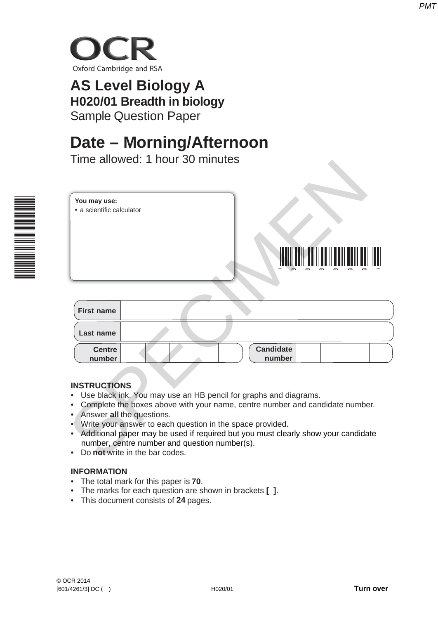

# **AS Level Biology A H020/01 Breadth in biology** Sample Question Paper

# **Date – Morning/Afternoon**

Time allowed: 1 hour 30 minutes



|                                           | Time allowed: Thour 30 minutes                                                                                                                                                                                                                                                                                                                                                                                     |  |
|-------------------------------------------|--------------------------------------------------------------------------------------------------------------------------------------------------------------------------------------------------------------------------------------------------------------------------------------------------------------------------------------------------------------------------------------------------------------------|--|
| You may use:<br>· a scientific calculator |                                                                                                                                                                                                                                                                                                                                                                                                                    |  |
| <b>First name</b>                         |                                                                                                                                                                                                                                                                                                                                                                                                                    |  |
| Last name                                 |                                                                                                                                                                                                                                                                                                                                                                                                                    |  |
| <b>Centre</b><br>number                   | <b>Candidate</b><br>number                                                                                                                                                                                                                                                                                                                                                                                         |  |
| <b>INSTRUCTIONS</b>                       | Use black ink. You may use an HB pencil for graphs and diagrams.<br>Complete the boxes above with your name, centre number and candidate number.<br>Answer all the questions.<br>Write your answer to each question in the space provided.<br>Additional paper may be used if required but you must clearly show your candidate<br>number, centre number and question number(s).<br>Do not write in the bar codes. |  |

| <b>First name</b>       |                            |
|-------------------------|----------------------------|
| Last name               |                            |
| <b>Centre</b><br>number | <b>Candidate</b><br>number |

# **INSTRUCTIONS**

- Use black ink. You may use an HB pencil for graphs and diagrams.
- Complete the boxes above with your name, centre number and candidate number.
- Answer **all** the questions.
- Write your answer to each question in the space provided.
- Additional paper may be used if required but you must clearly show your candidate number, centre number and question number(s).
- Do **not** write in the bar codes.

# **INFORMATION**

- The total mark for this paper is **70**.
- The marks for each question are shown in brackets **[ ]**.
- This document consists of **24** pages.

*PMT*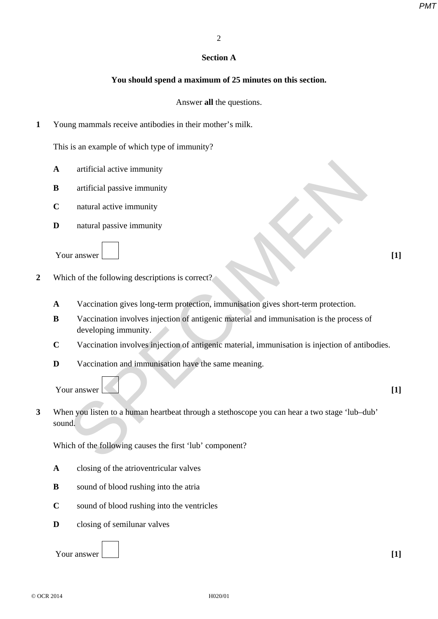## **Section A**

# **You should spend a maximum of 25 minutes on this section.**

Answer **all** the questions.

**1** Young mammals receive antibodies in their mother's milk.

This is an example of which type of immunity?

- **A** artificial active immunity
- **B** artificial passive immunity
- **C** natural active immunity
- **D** natural passive immunity

Your answer **[1]** 

- **2** Which of the following descriptions is correct?
	- **A** Vaccination gives long-term protection, immunisation gives short-term protection.
	- **B** Vaccination involves injection of antigenic material and immunisation is the process of developing immunity.
	- **C** Vaccination involves injection of antigenic material, immunisation is injection of antibodies.
	- **D** Vaccination and immunisation have the same meaning.

Your answer **[1] [1]** 

**3** When you listen to a human heartbeat through a stethoscope you can hear a two stage 'lub–dub' sound. artificial active immunity<br>
artificial passive immunity<br>
natural active immunity<br>
natural active immunity<br>
vaccination gives long-term protection, immunisation gives short-term protection.<br>
Vaccination involves injection o

Which of the following causes the first 'lub' component?

- **A** closing of the atrioventricular valves
- **B** sound of blood rushing into the atria
- **C** sound of blood rushing into the ventricles
- **D** closing of semilunar valves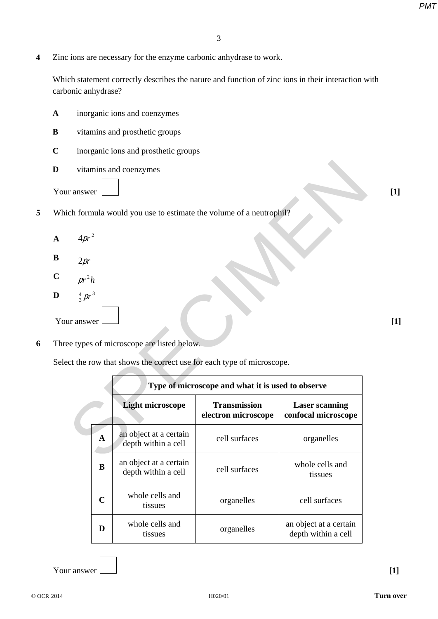**4** Zinc ions are necessary for the enzyme carbonic anhydrase to work.

Which statement correctly describes the nature and function of zinc ions in their interaction with carbonic anhydrase?

- **A** inorganic ions and coenzymes
- **B** vitamins and prosthetic groups
- **C** inorganic ions and prosthetic groups
- **D** vitamins and coenzymes
- Your answer **[1] [1]**
- **5** Which formula would you use to estimate the volume of a neutrophil?
	- **A**  $4pr^2$
	- $\mathbf{B}$  2*pr*
	- **C**  $pr^2h$
	- **D**  $\frac{4}{3}pr^3$ Your answer **[1] [1]**
- **6** Three types of microscope are listed below.

Select the row that shows the correct use for each type of microscope.

|                                                                     |             | vitamins and coenzymes                                            |                                                   |                                               |  |  |
|---------------------------------------------------------------------|-------------|-------------------------------------------------------------------|---------------------------------------------------|-----------------------------------------------|--|--|
| ir answer                                                           |             |                                                                   |                                                   |                                               |  |  |
|                                                                     |             | ich formula would you use to estimate the volume of a neutrophil? |                                                   |                                               |  |  |
| $4pr^2$                                                             |             |                                                                   |                                                   |                                               |  |  |
| 2pr                                                                 |             |                                                                   |                                                   |                                               |  |  |
| $pr^2h$                                                             |             |                                                                   |                                                   |                                               |  |  |
| $\frac{4}{3}$ pr <sup>3</sup>                                       |             |                                                                   |                                                   |                                               |  |  |
| ur answer                                                           |             |                                                                   |                                                   |                                               |  |  |
|                                                                     |             | ee types of microscope are listed below.                          |                                                   |                                               |  |  |
| ect the row that shows the correct use for each type of microscope. |             |                                                                   |                                                   |                                               |  |  |
|                                                                     |             |                                                                   |                                                   |                                               |  |  |
|                                                                     |             |                                                                   | Type of microscope and what it is used to observe |                                               |  |  |
|                                                                     |             | <b>Light microscope</b>                                           | <b>Transmission</b><br>electron microscope        | <b>Laser scanning</b><br>confocal microscope  |  |  |
|                                                                     | $\mathbf A$ | an object at a certain<br>depth within a cell                     | cell surfaces                                     | organelles                                    |  |  |
|                                                                     | B           | an object at a certain<br>depth within a cell                     | cell surfaces                                     | whole cells and<br>tissues                    |  |  |
|                                                                     | $\mathbf C$ | whole cells and<br>tissues                                        | organelles                                        | cell surfaces                                 |  |  |
|                                                                     | D           | whole cells and<br>tissues                                        | organelles                                        | an object at a certain<br>depth within a cell |  |  |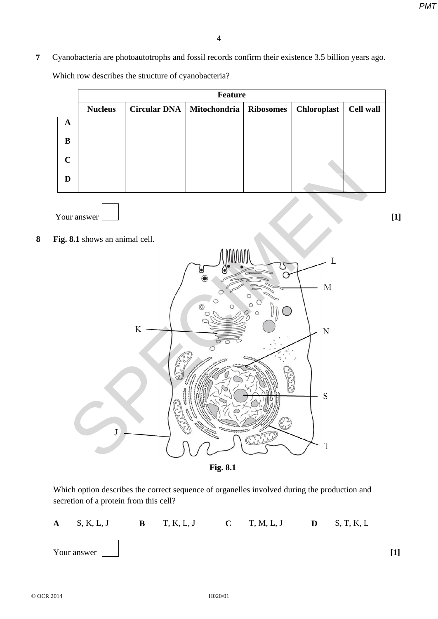**7** Cyanobacteria are photoautotrophs and fossil records confirm their existence 3.5 billion years ago. Which row describes the structure of cyanobacteria?

|             | <b>Feature</b> |  |                                         |  |                    |                  |  |  |
|-------------|----------------|--|-----------------------------------------|--|--------------------|------------------|--|--|
|             | <b>Nucleus</b> |  | Circular DNA   Mitochondria   Ribosomes |  | <b>Chloroplast</b> | <b>Cell wall</b> |  |  |
| A           |                |  |                                         |  |                    |                  |  |  |
| B           |                |  |                                         |  |                    |                  |  |  |
| $\mathbf C$ |                |  |                                         |  |                    |                  |  |  |
| D           |                |  |                                         |  |                    |                  |  |  |

Your answer **[1] [1]** 

**8 Fig. 8.1** shows an animal cell.



Which option describes the correct sequence of organelles involved during the production and secretion of a protein from this cell?



© OCR 2014 H020/01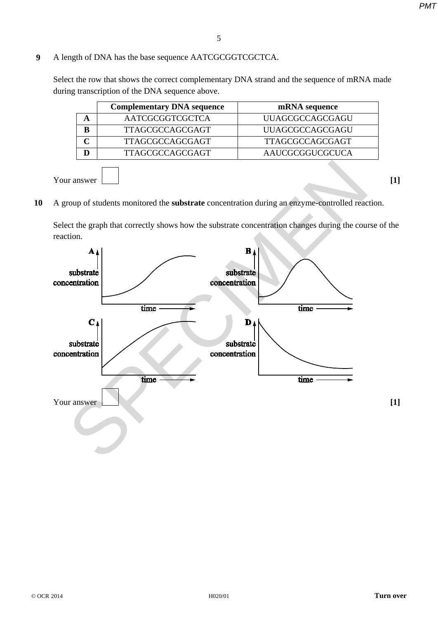# **9** A length of DNA has the base sequence AATCGCGGTCGCTCA.

Select the row that shows the correct complementary DNA strand and the sequence of mRNA made during transcription of the DNA sequence above.

| <b>Complementary DNA sequence</b> | mRNA sequence          |
|-----------------------------------|------------------------|
| AATCGCGGTCGCTCA                   | <b>UUAGCGCCAGCGAGU</b> |
| <b>TTAGCGCCAGCGAGT</b>            | <b>UUAGCGCCAGCGAGU</b> |
| <b>TTAGCGCCAGCGAGT</b>            | <b>TTAGCGCCAGCGAGT</b> |
| TTAGCGCCAGCGAGT                   | AAUCGCGGUCGCUCA        |
|                                   |                        |

Your answer **[1] [1]** 

- 
- **10** A group of students monitored the **substrate** concentration during an enzyme-controlled reaction.

Select the graph that correctly shows how the substrate concentration changes during the course of the reaction.

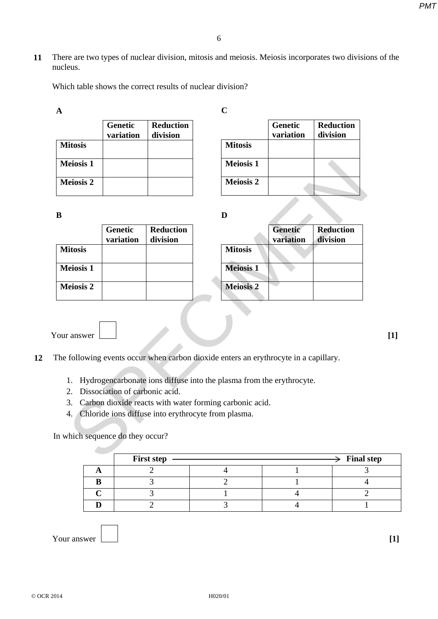**11** There are two types of nuclear division, mitosis and meiosis. Meiosis incorporates two divisions of the nucleus.

Which table shows the correct results of nuclear division?

| A                |                      |                              |                  |                             |                              |
|------------------|----------------------|------------------------------|------------------|-----------------------------|------------------------------|
|                  | Genetic<br>variation | <b>Reduction</b><br>division |                  | <b>Genetic</b><br>variation | <b>Reduction</b><br>division |
| <b>Mitosis</b>   |                      |                              | <b>Mitosis</b>   |                             |                              |
| <b>Meiosis 1</b> |                      |                              | <b>Meiosis 1</b> |                             |                              |
| <b>Meiosis 2</b> |                      |                              | <b>Meiosis 2</b> |                             |                              |

**B**

| <b>Meiosis 1</b>                 |                                |                                                                                                                                                                                                                         | <b>Meiosis 1</b> |                             |                              |
|----------------------------------|--------------------------------|-------------------------------------------------------------------------------------------------------------------------------------------------------------------------------------------------------------------------|------------------|-----------------------------|------------------------------|
| <b>Meiosis 2</b>                 |                                |                                                                                                                                                                                                                         | <b>Meiosis 2</b> |                             |                              |
| B                                |                                |                                                                                                                                                                                                                         | D                |                             |                              |
|                                  | <b>Genetic</b><br>variation    | <b>Reduction</b><br>division                                                                                                                                                                                            |                  | <b>Genetic</b><br>variation | <b>Reduction</b><br>division |
| <b>Mitosis</b>                   |                                |                                                                                                                                                                                                                         | <b>Mitosis</b>   |                             |                              |
| <b>Meiosis 1</b>                 |                                |                                                                                                                                                                                                                         | <b>Meiosis 1</b> |                             |                              |
| <b>Meiosis 2</b>                 |                                |                                                                                                                                                                                                                         | <b>Meiosis 2</b> |                             |                              |
| our answer<br>1.<br>2.<br>3.     | Dissociation of carbonic acid. | The following events occur when carbon dioxide enters an erythrocyte in a capillary.<br>Hydrogencarbonate ions diffuse into the plasma from the erythrocyte.<br>Carbon dioxide reacts with water forming carbonic acid. |                  |                             |                              |
| 4.7                              |                                | Chloride ions diffuse into erythrocyte from plasma.                                                                                                                                                                     |                  |                             |                              |
| In which sequence do they occur? |                                |                                                                                                                                                                                                                         |                  |                             |                              |
|                                  |                                | First sten                                                                                                                                                                                                              |                  |                             | <b>Final</b> :               |

|                  | <b>Genetic</b><br>variation | <b>Reduction</b><br>division |
|------------------|-----------------------------|------------------------------|
| <b>Mitosis</b>   |                             |                              |
| <b>Meiosis 1</b> |                             |                              |
| <b>Meiosis 2</b> |                             |                              |

Your answer **[1]** 

- **12** The following events occur when carbon dioxide enters an erythrocyte in a capillary.
	- 1. Hydrogencarbonate ions diffuse into the plasma from the erythrocyte.
	- 2. Dissociation of carbonic acid.
	- 3. Carbon dioxide reacts with water forming carbonic acid.
	- 4. Chloride ions diffuse into erythrocyte from plasma.

| <b>First step</b> |  | $\geq$ Final step |
|-------------------|--|-------------------|
|                   |  |                   |
|                   |  |                   |
|                   |  |                   |
|                   |  |                   |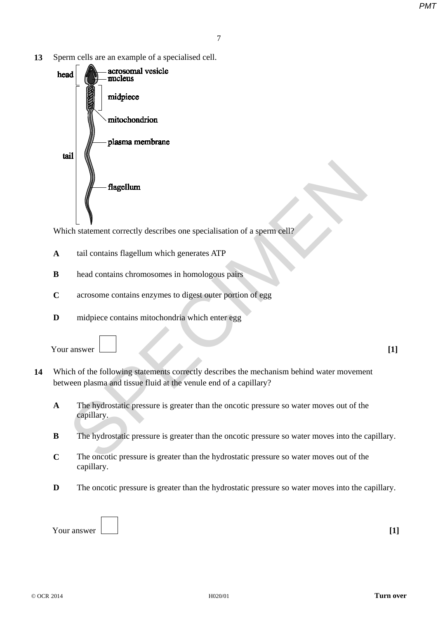**13** Sperm cells are an example of a specialised cell.



Which statement correctly describes one specialisation of a sperm cell?

- **A** tail contains flagellum which generates ATP
- **B** head contains chromosomes in homologous pairs
- **C** acrosome contains enzymes to digest outer portion of egg
- **D** midpiece contains mitochondria which enter egg

Your answer **[1] [1]** 

- **14** Which of the following statements correctly describes the mechanism behind water movement between plasma and tissue fluid at the venule end of a capillary?
	- **A** The hydrostatic pressure is greater than the oncotic pressure so water moves out of the capillary.
	- **B** The hydrostatic pressure is greater than the oncotic pressure so water moves into the capillary.
	- **C** The oncotic pressure is greater than the hydrostatic pressure so water moves out of the capillary.
	- **D** The oncotic pressure is greater than the hydrostatic pressure so water moves into the capillary.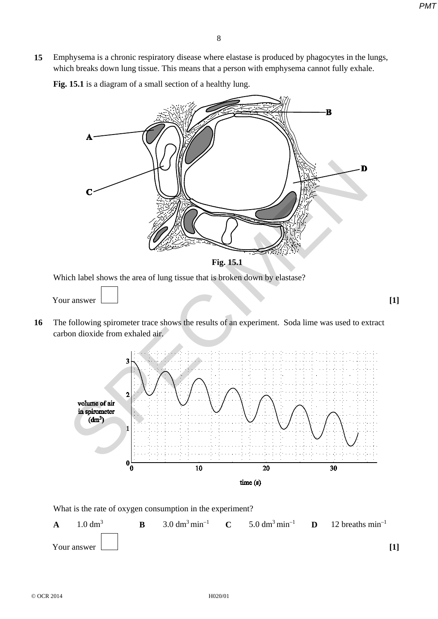**15** Emphysema is a chronic respiratory disease where elastase is produced by phagocytes in the lungs, which breaks down lung tissue. This means that a person with emphysema cannot fully exhale.

**Fig. 15.1** is a diagram of a small section of a healthy lung.



Which label shows the area of lung tissue that is broken down by elastase?

Your answer **[1] [1]** 

**16** The following spirometer trace shows the results of an experiment. Soda lime was used to extract carbon dioxide from exhaled air.



What is the rate of oxygen consumption in the experiment?

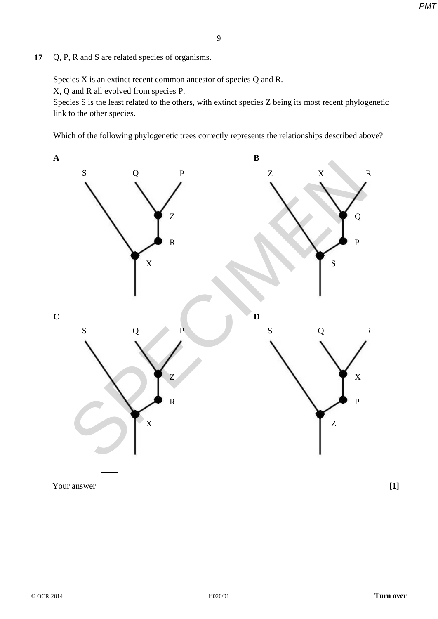**17** Q, P, R and S are related species of organisms.

Species X is an extinct recent common ancestor of species Q and R.

X, Q and R all evolved from species P.

Species S is the least related to the others, with extinct species Z being its most recent phylogenetic link to the other species.

Which of the following phylogenetic trees correctly represents the relationships described above?

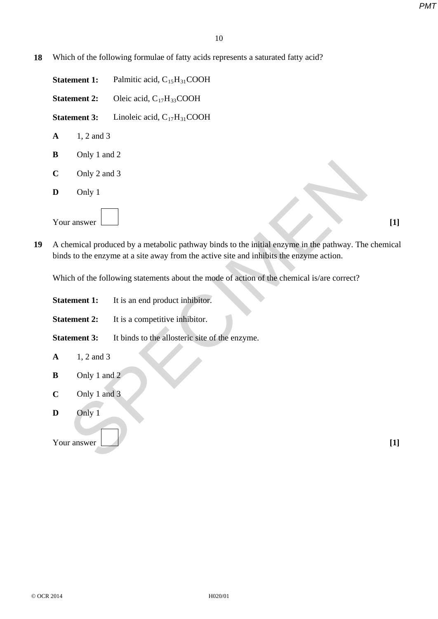**18** Which of the following formulae of fatty acids represents a saturated fatty acid?

**Statement 1:** Palmitic acid, C<sub>15</sub>H<sub>31</sub>COOH **Statement 2:** Oleic acid, C<sub>17</sub>H<sub>33</sub>COOH

**Statement 3:** Linoleic acid, C<sub>17</sub>H<sub>31</sub>COOH

- **A** 1, 2 and 3
- **B** Only 1 and 2
- **C** Only 2 and 3
- **D** Only 1

| - -         |  |  |
|-------------|--|--|
| Your answer |  |  |

| $\mathbf C$ | Only 2 and 3        |                                                                                                                                                                                                |       |
|-------------|---------------------|------------------------------------------------------------------------------------------------------------------------------------------------------------------------------------------------|-------|
| D           | Only 1              |                                                                                                                                                                                                |       |
|             | Your answer         |                                                                                                                                                                                                | $[1]$ |
|             |                     | A chemical produced by a metabolic pathway binds to the initial enzyme in the pathway. The chemical<br>binds to the enzyme at a site away from the active site and inhibits the enzyme action. |       |
|             |                     | Which of the following statements about the mode of action of the chemical is/are correct?                                                                                                     |       |
|             | <b>Statement 1:</b> | It is an end product inhibitor.                                                                                                                                                                |       |
|             | <b>Statement 2:</b> | It is a competitive inhibitor.                                                                                                                                                                 |       |
|             | <b>Statement 3:</b> | It binds to the allosteric site of the enzyme.                                                                                                                                                 |       |
| $\mathbf A$ | 1, 2 and 3          |                                                                                                                                                                                                |       |
| B           | Only 1 and 2        |                                                                                                                                                                                                |       |
| $\mathbf C$ | Only 1 and 3        |                                                                                                                                                                                                |       |
| D           | Only 1              |                                                                                                                                                                                                |       |
|             | Your answer         |                                                                                                                                                                                                | $[1]$ |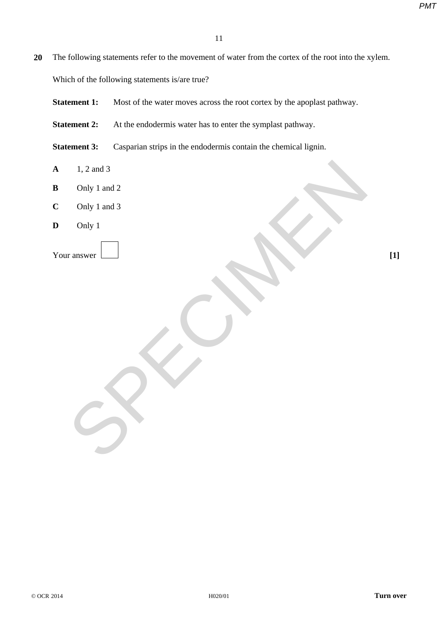**20** The following statements refer to the movement of water from the cortex of the root into the xylem.

Which of the following statements is/are true?

- **Statement 1:** Most of the water moves across the root cortex by the apoplast pathway.
- **Statement 2:** At the endodermis water has to enter the symplast pathway.
- **Statement 3:** Casparian strips in the endodermis contain the chemical lignin.
- **A** 1, 2 and 3
- **B** Only 1 and 2
- **C** Only 1 and 3  $\sum_{\substack{\text{Only 1 and 3} \\ \text{only 1} \\ \text{or } \text{by 1}}}$
- **D** Only 1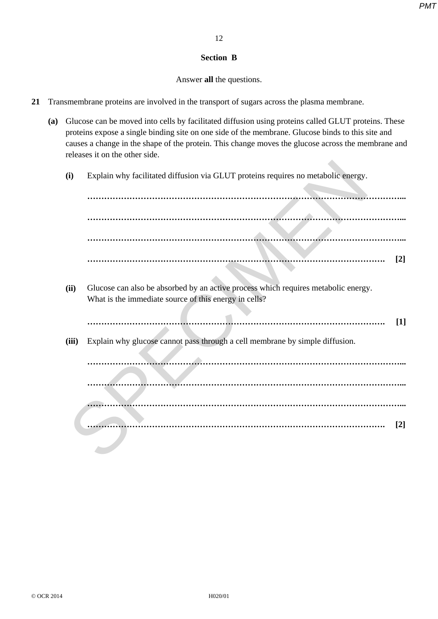### **Section B**

## Answer **all** the questions.

- **21** Transmembrane proteins are involved in the transport of sugars across the plasma membrane.
	- **(a)** Glucose can be moved into cells by facilitated diffusion using proteins called GLUT proteins. These proteins expose a single binding site on one side of the membrane. Glucose binds to this site and causes a change in the shape of the protein. This change moves the glucose across the membrane and releases it on the other side.
		- **(i)** Explain why facilitated diffusion via GLUT proteins requires no metabolic energy.

**…………………………………………………………………………………………………... …………………………………………………………………………………………………... …………………………………………………………………………………………………... ……………………………………………………………………………………………. [2]**

- **(ii)** Glucose can also be absorbed by an active process which requires metabolic energy. What is the immediate source of this energy in cells?
	- **……………………………………………………………………………………………. [1]**
- **(iii)** Explain why glucose cannot pass through a cell membrane by simple diffusion.

**…………………………………………………………………………………………………... …………………………………………………………………………………………………... …………………………………………………………………………………………………... ……………………………………………………………………………………………. [2]** SPECIMEN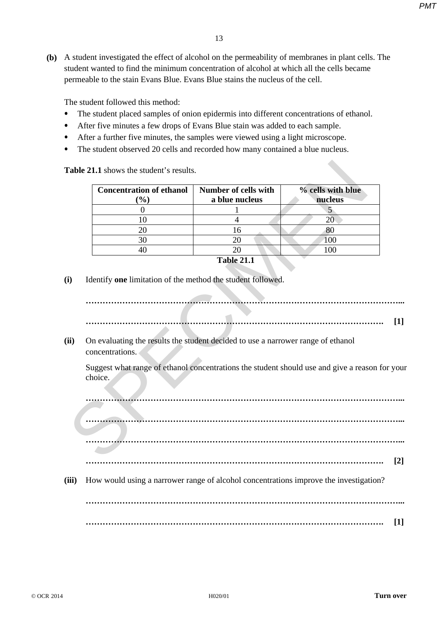**(b)** A student investigated the effect of alcohol on the permeability of membranes in plant cells. The student wanted to find the minimum concentration of alcohol at which all the cells became permeable to the stain Evans Blue. Evans Blue stains the nucleus of the cell.

The student followed this method:

- The student placed samples of onion epidermis into different concentrations of ethanol.
- After five minutes a few drops of Evans Blue stain was added to each sample.
- After a further five minutes, the samples were viewed using a light microscope.
- The student observed 20 cells and recorded how many contained a blue nucleus.

| Table 21.1 shows the student's results. |                                           |                                                                                  |                                                                                       |
|-----------------------------------------|-------------------------------------------|----------------------------------------------------------------------------------|---------------------------------------------------------------------------------------|
|                                         | <b>Concentration of ethanol</b><br>$(\%)$ | <b>Number of cells with</b><br>a blue nucleus                                    | % cells with blue<br>nucleus                                                          |
|                                         | $\theta$                                  |                                                                                  | 5                                                                                     |
|                                         | 10                                        | $\overline{4}$                                                                   | 20                                                                                    |
|                                         | 20                                        | 16                                                                               | 80                                                                                    |
|                                         | 30                                        | 20                                                                               | 100                                                                                   |
|                                         | 40                                        | 20                                                                               | 100                                                                                   |
| concentrations.                         |                                           | On evaluating the results the student decided to use a narrower range of ethanol |                                                                                       |
| choice.                                 |                                           |                                                                                  | Suggest what range of ethanol concentrations the student should use and give a reason |
|                                         |                                           |                                                                                  |                                                                                       |
|                                         |                                           |                                                                                  |                                                                                       |
|                                         |                                           |                                                                                  |                                                                                       |
|                                         |                                           |                                                                                  |                                                                                       |

**…………………………………………………………………………………………………... ……………………………………………………………………………………………. [1]**

Suggest what range of ethanol concentrations the student should use and give a reason for your choice.

**…………………………………………………………………………………………………... …………………………………………………………………………………………………... …………………………………………………………………………………………………...**

- **……………………………………………………………………………………………. [2]**
- **(iii)** How would using a narrower range of alcohol concentrations improve the investigation?

**…………………………………………………………………………………………………... ……………………………………………………………………………………………. [1]**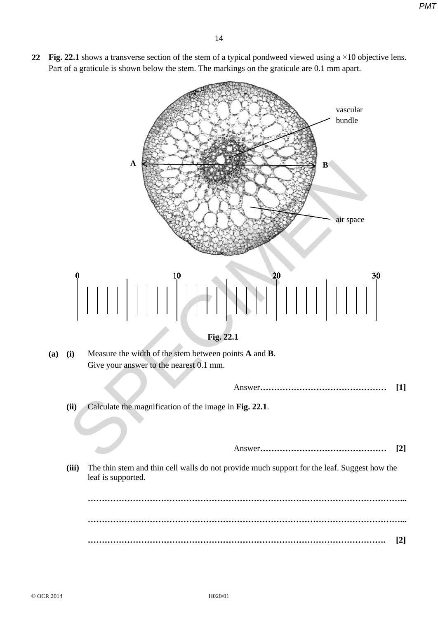**22 Fig. 22.1** shows a transverse section of the stem of a typical pondweed viewed using a ×10 objective lens. Part of a graticule is shown below the stem. The markings on the graticule are 0.1 mm apart.



**(ii)** Calculate the magnification of the image in **Fig. 22.1**.

Answer**……………………………………… [2]**

**(iii)** The thin stem and thin cell walls do not provide much support for the leaf. Suggest how the leaf is supported.

**…………………………………………………………………………………………………... …………………………………………………………………………………………………... ……………………………………………………………………………………………. [2]**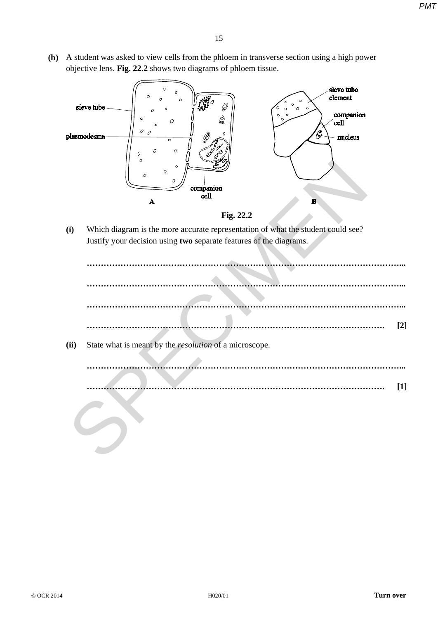**(b)** A student was asked to view cells from the phloem in transverse section using a high power objective lens. **Fig. 22.2** shows two diagrams of phloem tissue.





|      | 0<br>$\circ$<br>$\circ$<br>$\circ$<br>Ω<br>cell<br>$\mathbf{A}$<br>B                                                                                   |
|------|--------------------------------------------------------------------------------------------------------------------------------------------------------|
|      | Fig. 22.2                                                                                                                                              |
| (i)  | Which diagram is the more accurate representation of what the student could see?<br>Justify your decision using two separate features of the diagrams. |
|      |                                                                                                                                                        |
|      |                                                                                                                                                        |
|      | $[2]$                                                                                                                                                  |
| (ii) | State what is meant by the <i>resolution</i> of a microscope.                                                                                          |
|      |                                                                                                                                                        |
|      | $[1]$                                                                                                                                                  |
|      |                                                                                                                                                        |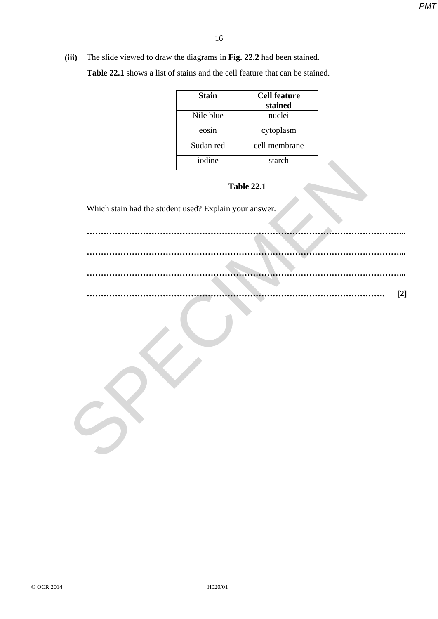**(iii)** The slide viewed to draw the diagrams in **Fig. 22.2** had been stained.

**Table 22.1** shows a list of stains and the cell feature that can be stained.

| <b>Stain</b> | Cell feature<br>stained |
|--------------|-------------------------|
| Nile blue    | nuclei                  |
| eosin        | cytoplasm               |
| Sudan red    | cell membrane           |
| iodine       | starch                  |

**Table 22.1** 

Which stain had the student used? Explain your answer.

**…………………………………………………………………………………………………... …………………………………………………………………………………………………... …………………………………………………………………………………………………... ……………………………………………………………………………………………. [2]** SPECIMEN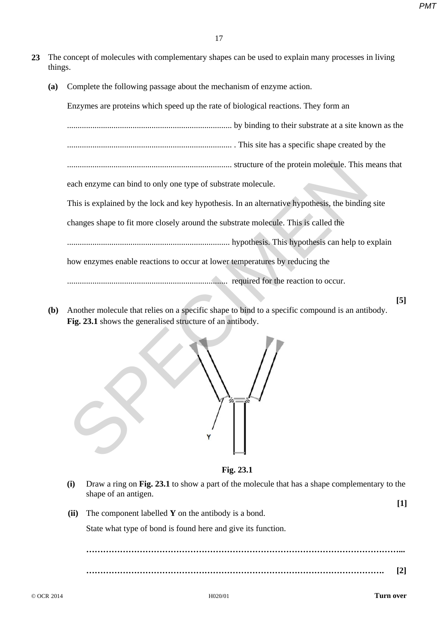- **23** The concept of molecules with complementary shapes can be used to explain many processes in living things.
	- **(a)** Complete the following passage about the mechanism of enzyme action.

Enzymes are proteins which speed up the rate of biological reactions. They form an .............................................................................. by binding to their substrate at a site known as the .............................................................................. . This site has a specific shape created by the .............................................................................. structure of the protein molecule. This means that each enzyme can bind to only one type of substrate molecule. This is explained by the lock and key hypothesis. In an alternative hypothesis, the binding site changes shape to fit more closely around the substrate molecule. This is called the ............................................................................. hypothesis. This hypothesis can help to explain how enzymes enable reactions to occur at lower temperatures by reducing the ............................................................................ required for the reaction to occur. structure of the protein molecule. This reach envyme can bind to only one type of substrate molecule.<br>
This is explained by the lock and key hypothesis. In an alternative hypothesis, the binding<br>
changes shape to fit more

**(b)** Another molecule that relies on a specific shape to bind to a specific compound is an antibody. **Fig. 23.1** shows the generalised structure of an antibody.



**Fig. 23.1** 

- **(i)** Draw a ring on **Fig. 23.1** to show a part of the molecule that has a shape complementary to the shape of an antigen. **[1]**
- **(ii)** The component labelled **Y** on the antibody is a bond.

State what type of bond is found here and give its function.

 **…………………………………………………………………………………………………... ……………………………………………………………………………………………. [2]** 

**[5]**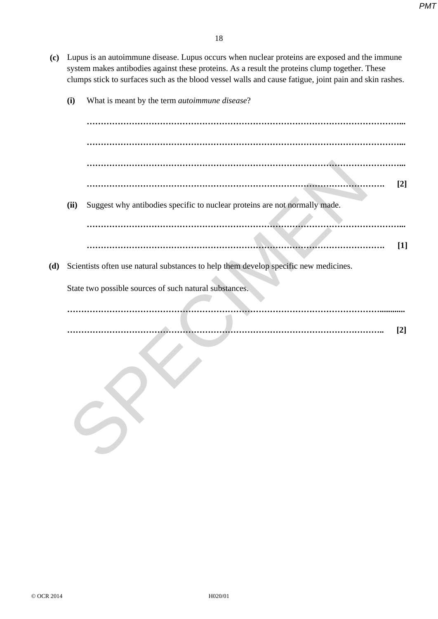- **(c)** Lupus is an autoimmune disease. Lupus occurs when nuclear proteins are exposed and the immune system makes antibodies against these proteins. As a result the proteins clump together. These clumps stick to surfaces such as the blood vessel walls and cause fatigue, joint pain and skin rashes.
	- **(i)** What is meant by the term *autoimmune disease*?

 **…………………………………………………………………………………………………... …………………………………………………………………………………………………... …………………………………………………………………………………………………... ……………………………………………………………………………………………. [2] (ii)** Suggest why antibodies specific to nuclear proteins are not normally made.  **…………………………………………………………………………………………………... ………………………………………………………………………………………………….. [2]** SPECIMEN

 **……………………………………………………………………………………………. [1]** 

**(d)** Scientists often use natural substances to help them develop specific new medicines.

State two possible sources of such natural substances.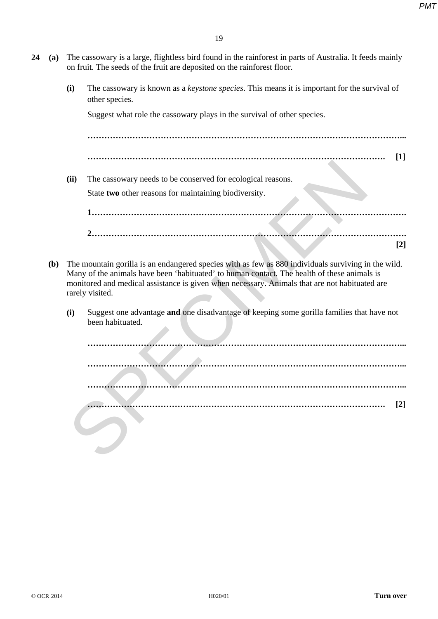- **24 (a)** The cassowary is a large, flightless bird found in the rainforest in parts of Australia. It feeds mainly on fruit. The seeds of the fruit are deposited on the rainforest floor.
	- **(i)** The cassowary is known as a *keystone species*. This means it is important for the survival of other species.

Suggest what role the cassowary plays in the survival of other species.

 **…………………………………………………………………………………………………...** 

- **……………………………………………………………………………………………. [1]**
- **(ii)** The cassowary needs to be conserved for ecological reasons. State **two** other reasons for maintaining biodiversity.

 **1…………………………………………………………………………………………………. 2…………………………………………………………………………………………………. [2]**

- **(b)** The mountain gorilla is an endangered species with as few as 880 individuals surviving in the wild. Many of the animals have been 'habituated' to human contact. The health of these animals is monitored and medical assistance is given when necessary. Animals that are not habituated are rarely visited.
	- **(i)** Suggest one advantage **and** one disadvantage of keeping some gorilla families that have not been habituated.

**…………………………………………………………………………………………………... …………………………………………………………………………………………………... …………………………………………………………………………………………………... ……………………………………………………………………………………………. [2]** SPECIMEN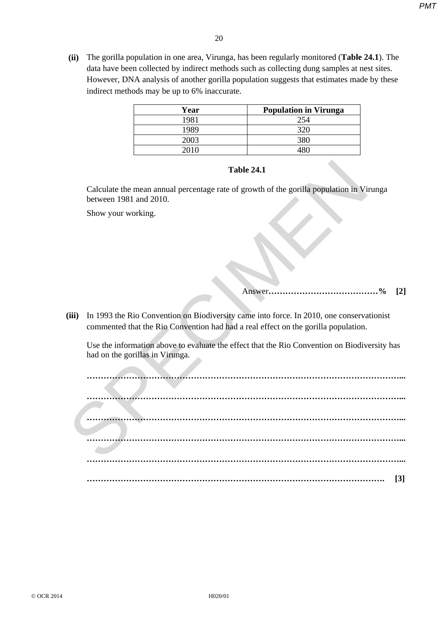**(ii)** The gorilla population in one area, Virunga, has been regularly monitored (**Table 24.1**). The data have been collected by indirect methods such as collecting dung samples at nest sites. However, DNA analysis of another gorilla population suggests that estimates made by these indirect methods may be up to 6% inaccurate.

| Year | <b>Population in Virunga</b> |
|------|------------------------------|
| 1981 | 254                          |
| 1989 |                              |
| 2003 |                              |
| 2010 |                              |

## **Table 24.1**

Calculate the mean annual percentage rate of growth of the gorilla population in Virunga between 1981 and 2010.

Show your working.

# Answer**…………………………………% [2]**

**(iii)** In 1993 the Rio Convention on Biodiversity came into force. In 2010, one conservationist commented that the Rio Convention had had a real effect on the gorilla population.

Use the information above to evaluate the effect that the Rio Convention on Biodiversity has had on the gorillas in Virunga.

**…………………………………………………………………………………………………... …………………………………………………………………………………………………... …………………………………………………………………………………………………... …………………………………………………………………………………………………... …………………………………………………………………………………………………... ……………………………………………………………………………………………. [3]**  Table 24.1<br>
Calculate the mean annual percentage rate of growth of the gorilla population in Vi<br>
between 1981 and 2010.<br>
Show your working.<br>
(iii) In 1993 the Rio Convention on Biodiversity came into force. In 2010, one co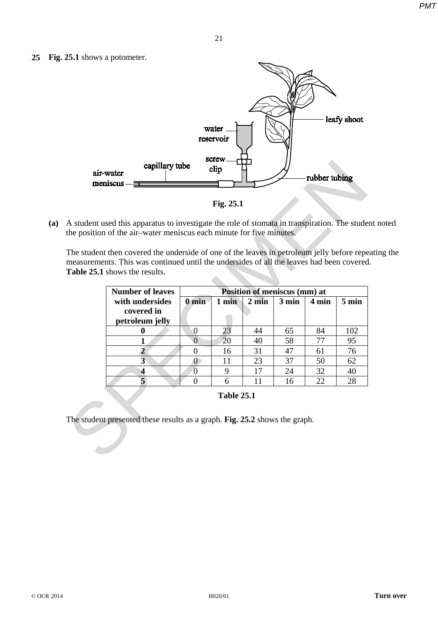**25 Fig. 25.1** shows a potometer.



**Fig. 25.1**

**(a)** A student used this apparatus to investigate the role of stomata in transpiration. The student noted the position of the air–water meniscus each minute for five minutes.

The student then covered the underside of one of the leaves in petroleum jelly before repeating the measurements. This was continued until the undersides of all the leaves had been covered. **Table 25.1** shows the results.

|                   | air-water<br>meniscus -                                                                                                                                                                                                 | capillary tube |                  | screw<br>clip |                              |       | rubber tubing |       |
|-------------------|-------------------------------------------------------------------------------------------------------------------------------------------------------------------------------------------------------------------------|----------------|------------------|---------------|------------------------------|-------|---------------|-------|
|                   |                                                                                                                                                                                                                         |                |                  | Fig. 25.1     |                              |       |               |       |
|                   | A student used this apparatus to investigate the role of stomata in transpiration. The stude<br>the position of the air-water meniscus each minute for five minutes.                                                    |                |                  |               |                              |       |               |       |
|                   | The student then covered the underside of one of the leaves in petroleum jelly before repe<br>measurements. This was continued until the undersides of all the leaves had been covered<br>Table 25.1 shows the results. |                |                  |               |                              |       |               |       |
|                   | <b>Number of leaves</b>                                                                                                                                                                                                 |                |                  |               | Position of meniscus (mm) at |       |               |       |
|                   | with undersides                                                                                                                                                                                                         |                | $0 \text{ min}$  | 1 min         | $2 \text{ min}$              | 3 min | 4 min         | 5 min |
|                   | covered in<br>petroleum jelly                                                                                                                                                                                           |                |                  |               |                              |       |               |       |
|                   | 0                                                                                                                                                                                                                       |                | $\boldsymbol{0}$ | 23            | 44                           | 65    | 84            | 102   |
|                   | 1                                                                                                                                                                                                                       |                | $\overline{0}$   | 20            | 40                           | 58    | 77            | 95    |
|                   | $\overline{2}$                                                                                                                                                                                                          |                | $\theta$         | 16            | 31                           | 47    | 61            | 76    |
|                   | $\overline{\mathbf{3}}$                                                                                                                                                                                                 |                | $\bf{0}$         | 11            | 23                           | 37    | 50            | 62    |
|                   | $\overline{\mathbf{4}}$                                                                                                                                                                                                 |                | $\overline{0}$   | 9             | 17                           | 24    | 32            | 40    |
|                   | 5                                                                                                                                                                                                                       |                | $\overline{0}$   | 6             | 11                           | 16    | 22            | 28    |
| <b>Table 25.1</b> |                                                                                                                                                                                                                         |                |                  |               |                              |       |               |       |
|                   | The student presented these results as a graph. Fig. 25.2 shows the graph.                                                                                                                                              |                |                  |               |                              |       |               |       |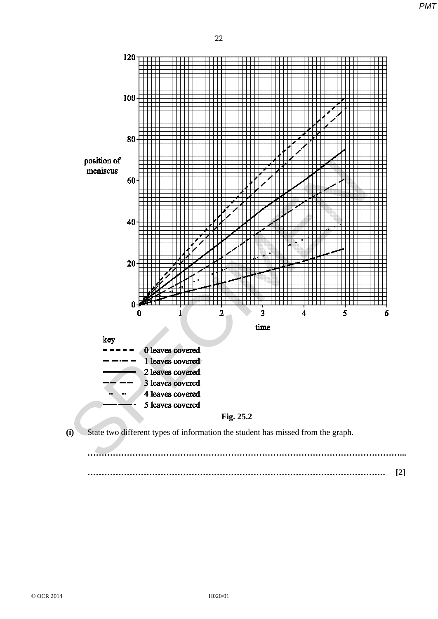

**……………………………………………………………………………………………. [2]**